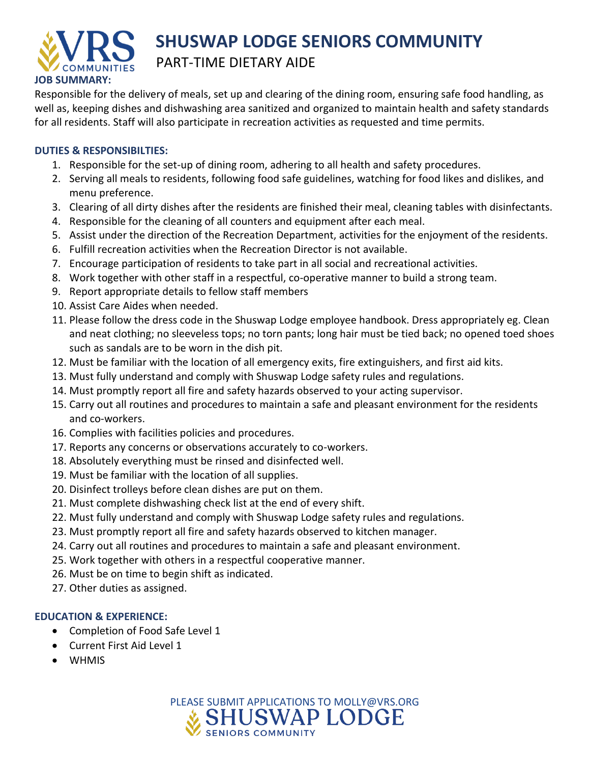

## **SHUSWAP LODGE SENIORS COMMUNITY** PART-TIME DIETARY AIDE

Responsible for the delivery of meals, set up and clearing of the dining room, ensuring safe food handling, as well as, keeping dishes and dishwashing area sanitized and organized to maintain health and safety standards for all residents. Staff will also participate in recreation activities as requested and time permits.

## **DUTIES & RESPONSIBILTIES:**

- 1. Responsible for the set-up of dining room, adhering to all health and safety procedures.
- 2. Serving all meals to residents, following food safe guidelines, watching for food likes and dislikes, and menu preference.
- 3. Clearing of all dirty dishes after the residents are finished their meal, cleaning tables with disinfectants.
- 4. Responsible for the cleaning of all counters and equipment after each meal.
- 5. Assist under the direction of the Recreation Department, activities for the enjoyment of the residents.
- 6. Fulfill recreation activities when the Recreation Director is not available.
- 7. Encourage participation of residents to take part in all social and recreational activities.
- 8. Work together with other staff in a respectful, co-operative manner to build a strong team.
- 9. Report appropriate details to fellow staff members
- 10. Assist Care Aides when needed.
- 11. Please follow the dress code in the Shuswap Lodge employee handbook. Dress appropriately eg. Clean and neat clothing; no sleeveless tops; no torn pants; long hair must be tied back; no opened toed shoes such as sandals are to be worn in the dish pit.
- 12. Must be familiar with the location of all emergency exits, fire extinguishers, and first aid kits.
- 13. Must fully understand and comply with Shuswap Lodge safety rules and regulations.
- 14. Must promptly report all fire and safety hazards observed to your acting supervisor.
- 15. Carry out all routines and procedures to maintain a safe and pleasant environment for the residents and co-workers.
- 16. Complies with facilities policies and procedures.
- 17. Reports any concerns or observations accurately to co-workers.
- 18. Absolutely everything must be rinsed and disinfected well.
- 19. Must be familiar with the location of all supplies.
- 20. Disinfect trolleys before clean dishes are put on them.
- 21. Must complete dishwashing check list at the end of every shift.
- 22. Must fully understand and comply with Shuswap Lodge safety rules and regulations.
- 23. Must promptly report all fire and safety hazards observed to kitchen manager.
- 24. Carry out all routines and procedures to maintain a safe and pleasant environment.
- 25. Work together with others in a respectful cooperative manner.
- 26. Must be on time to begin shift as indicated.
- 27. Other duties as assigned.

## **EDUCATION & EXPERIENCE:**

- Completion of Food Safe Level 1
- Current First Aid Level 1
- WHMIS